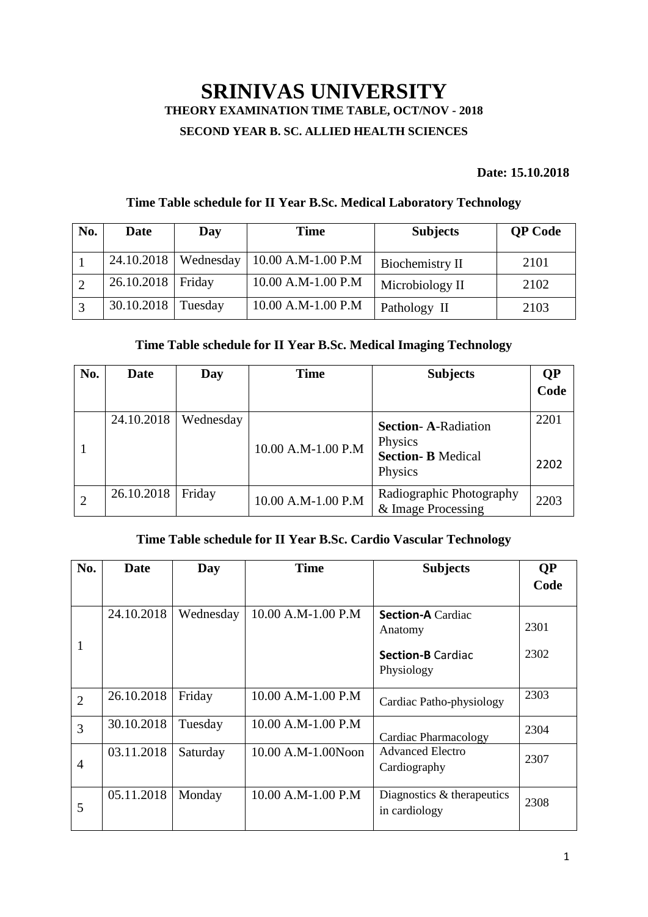# **SRINIVAS UNIVERSITY THEORY EXAMINATION TIME TABLE, OCT/NOV - 2018 SECOND YEAR B. SC. ALLIED HEALTH SCIENCES**

#### **Date: 15.10.2018**

### **Time Table schedule for II Year B.Sc. Medical Laboratory Technology**

| No. | Date                 | Day                    | <b>Time</b>        | <b>Subjects</b> | <b>QP</b> Code |
|-----|----------------------|------------------------|--------------------|-----------------|----------------|
|     |                      | $24.10.2018$ Wednesday | 10.00 A.M-1.00 P.M | Biochemistry II | 2101           |
|     | 26.10.2018   Friday  |                        | 10.00 A.M-1.00 P.M | Microbiology II | 2102           |
|     | $30.10.2018$ Tuesday |                        | 10.00 A.M-1.00 P.M | Pathology II    | 2103           |

### **Time Table schedule for II Year B.Sc. Medical Imaging Technology**

| No. | <b>Date</b> | Day       | Time               | <b>Subjects</b>                                                              | <b>QP</b><br>Code |
|-----|-------------|-----------|--------------------|------------------------------------------------------------------------------|-------------------|
|     | 24.10.2018  | Wednesday | 10.00 A.M-1.00 P.M | <b>Section-A-Radiation</b><br>Physics<br><b>Section-B Medical</b><br>Physics | 2201<br>2202      |
|     | 26.10.2018  | Friday    | 10.00 A.M-1.00 P.M | Radiographic Photography<br>& Image Processing                               | 2203              |

#### **Time Table schedule for II Year B.Sc. Cardio Vascular Technology**

| No.            | Date       | Day       | <b>Time</b>        | <b>Subjects</b>                             | <b>QP</b> |
|----------------|------------|-----------|--------------------|---------------------------------------------|-----------|
|                |            |           |                    |                                             | Code      |
|                | 24.10.2018 | Wednesday | 10.00 A.M-1.00 P.M | <b>Section-A Cardiac</b>                    | 2301      |
|                |            |           |                    | Anatomy                                     |           |
|                |            |           |                    | <b>Section-B Cardiac</b><br>Physiology      | 2302      |
| $\overline{2}$ | 26.10.2018 | Friday    | 10.00 A.M-1.00 P.M | Cardiac Patho-physiology                    | 2303      |
| $\overline{3}$ | 30.10.2018 | Tuesday   | 10.00 A.M-1.00 P.M | Cardiac Pharmacology                        | 2304      |
| $\overline{4}$ | 03.11.2018 | Saturday  | 10.00 A.M-1.00Noon | <b>Advanced Electro</b><br>Cardiography     | 2307      |
| 5              | 05.11.2018 | Monday    | 10.00 A.M-1.00 P.M | Diagnostics & therapeutics<br>in cardiology | 2308      |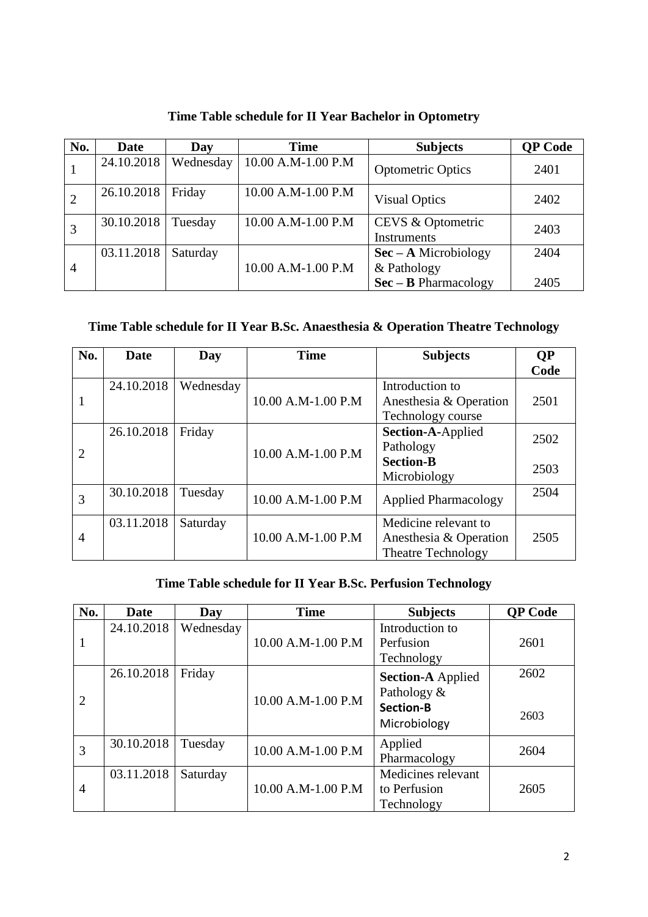| No.            | <b>Date</b> | Day       | Time               | <b>Subjects</b>                                     | <b>QP Code</b> |
|----------------|-------------|-----------|--------------------|-----------------------------------------------------|----------------|
|                | 24.10.2018  | Wednesday | 10.00 A.M-1.00 P.M | <b>Optometric Optics</b>                            | 2401           |
|                | 26.10.2018  | Friday    | 10.00 A.M-1.00 P.M | <b>Visual Optics</b>                                | 2402           |
|                | 30.10.2018  | Tuesday   | 10.00 A.M-1.00 P.M | CEVS & Optometric<br><b>Instruments</b>             | 2403           |
| $\overline{4}$ | 03.11.2018  | Saturday  | 10.00 A.M-1.00 P.M | $\text{Sec} - \text{A Microbiology}$<br>& Pathology | 2404           |
|                |             |           |                    | $\text{Sec} - \text{B}$ Pharmacology                | 2405           |

# **Time Table schedule for II Year Bachelor in Optometry**

### **Time Table schedule for II Year B.Sc. Anaesthesia & Operation Theatre Technology**

| No.            | <b>Date</b> | Day       | <b>Time</b>        | <b>Subjects</b>             | <b>QP</b> |
|----------------|-------------|-----------|--------------------|-----------------------------|-----------|
|                |             |           |                    |                             | Code      |
|                | 24.10.2018  | Wednesday |                    | Introduction to             |           |
| 1              |             |           | 10.00 A.M-1.00 P.M | Anesthesia & Operation      | 2501      |
|                |             |           |                    | Technology course           |           |
|                | 26.10.2018  | Friday    |                    | Section-A-Applied           | 2502      |
| $\overline{2}$ |             |           | 10.00 A.M-1.00 P.M | Pathology                   |           |
|                |             |           |                    | <b>Section-B</b>            |           |
|                |             |           |                    | Microbiology                | 2503      |
| 3              | 30.10.2018  | Tuesday   | 10.00 A.M-1.00 P.M | <b>Applied Pharmacology</b> | 2504      |
|                |             |           |                    |                             |           |
|                | 03.11.2018  | Saturday  |                    | Medicine relevant to        |           |
| 4              |             |           | 10.00 A.M-1.00 P.M | Anesthesia & Operation      | 2505      |
|                |             |           |                    | <b>Theatre Technology</b>   |           |

# **Time Table schedule for II Year B.Sc. Perfusion Technology**

| No.            | Date       | Day       | <b>Time</b>        | <b>Subjects</b>          | <b>QP</b> Code |
|----------------|------------|-----------|--------------------|--------------------------|----------------|
|                | 24.10.2018 | Wednesday |                    | Introduction to          |                |
|                |            |           | 10.00 A.M-1.00 P.M | Perfusion                | 2601           |
|                |            |           |                    | Technology               |                |
|                | 26.10.2018 | Friday    |                    | <b>Section-A Applied</b> | 2602           |
|                |            |           |                    | Pathology &              |                |
| $\overline{2}$ |            |           | 10.00 A.M-1.00 P.M | <b>Section-B</b>         |                |
|                |            |           |                    | Microbiology             | 2603           |
| 3              | 30.10.2018 | Tuesday   | 10.00 A.M-1.00 P.M | Applied                  | 2604           |
|                |            |           |                    | Pharmacology             |                |
|                | 03.11.2018 | Saturday  |                    | Medicines relevant       |                |
| 4              |            |           | 10.00 A.M-1.00 P.M | to Perfusion             | 2605           |
|                |            |           |                    | Technology               |                |